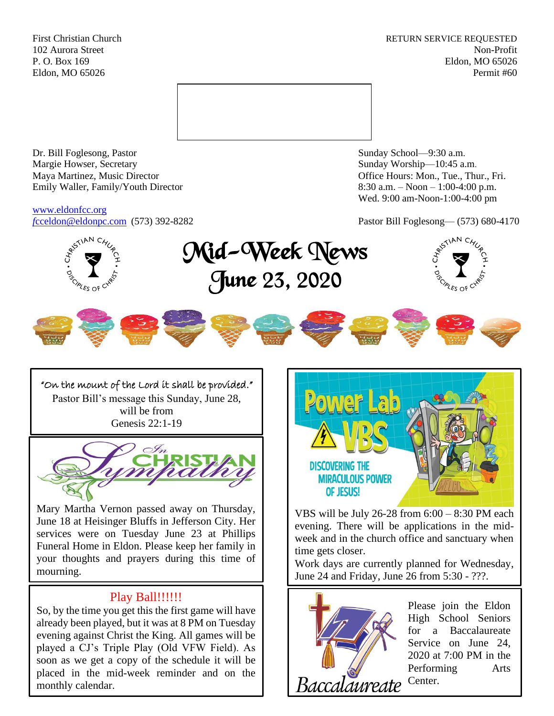First Christian Church **RETURN SERVICE REQUESTED** 102 Aurora Street Non-Profit P. O. Box 169 Eldon, MO 65026 Eldon, MO 65026 Permit #60



Dr. Bill Foglesong, Pastor Sunday School—9:30 a.m. Margie Howser, Secretary Sunday Worship—10:45 a.m. Maya Martinez, Music Director Office Hours: Mon., Tue., Thur., Fri. Emily Waller, Family/Youth Director 8:30 a.m. – Noon – 1:00-4:00 p.m.

[www.eldonfcc.org](http://www.eldonfcc.org/)

Wed. 9:00 am-Noon-1:00-4:00 pm



"On the mount of the Lord it shall be provided." Pastor Bill's message this Sunday, June 28, will be from Genesis 22:1-19



Mary Martha Vernon passed away on Thursday, June 18 at Heisinger Bluffs in Jefferson City. Her services were on Tuesday June 23 at Phillips Funeral Home in Eldon. Please keep her family in your thoughts and prayers during this time of mourning.

## Play Ball!!!!!!

So, by the time you get this the first game will have already been played, but it was at 8 PM on Tuesday evening against Christ the King. All games will be played a CJ's Triple Play (Old VFW Field). As soon as we get a copy of the schedule it will be placed in the mid-week reminder and on the monthly calendar.



VBS will be July 26-28 from 6:00 – 8:30 PM each evening. There will be applications in the midweek and in the church office and sanctuary when time gets closer.

Work days are currently planned for Wednesday, June 24 and Friday, June 26 from 5:30 - ???.



Please join the Eldon High School Seniors for a Baccalaureate Service on June 24, 2020 at 7:00 PM in the Performing Arts Center.